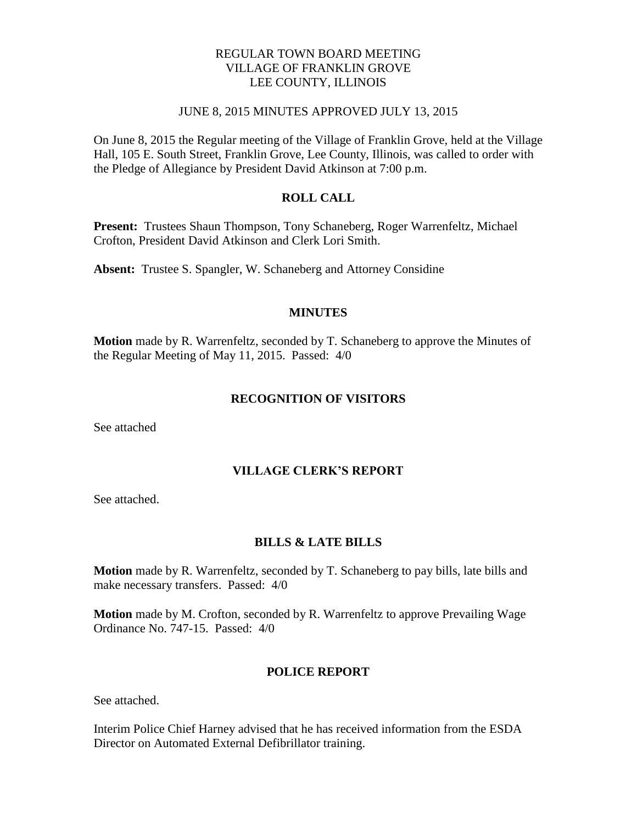# REGULAR TOWN BOARD MEETING VILLAGE OF FRANKLIN GROVE LEE COUNTY, ILLINOIS

## JUNE 8, 2015 MINUTES APPROVED JULY 13, 2015

On June 8, 2015 the Regular meeting of the Village of Franklin Grove, held at the Village Hall, 105 E. South Street, Franklin Grove, Lee County, Illinois, was called to order with the Pledge of Allegiance by President David Atkinson at 7:00 p.m.

## **ROLL CALL**

**Present:** Trustees Shaun Thompson, Tony Schaneberg, Roger Warrenfeltz, Michael Crofton, President David Atkinson and Clerk Lori Smith.

**Absent:** Trustee S. Spangler, W. Schaneberg and Attorney Considine

#### **MINUTES**

**Motion** made by R. Warrenfeltz, seconded by T. Schaneberg to approve the Minutes of the Regular Meeting of May 11, 2015. Passed: 4/0

## **RECOGNITION OF VISITORS**

See attached

# **VILLAGE CLERK'S REPORT**

See attached.

#### **BILLS & LATE BILLS**

**Motion** made by R. Warrenfeltz, seconded by T. Schaneberg to pay bills, late bills and make necessary transfers. Passed: 4/0

**Motion** made by M. Crofton, seconded by R. Warrenfeltz to approve Prevailing Wage Ordinance No. 747-15. Passed: 4/0

#### **POLICE REPORT**

See attached.

Interim Police Chief Harney advised that he has received information from the ESDA Director on Automated External Defibrillator training.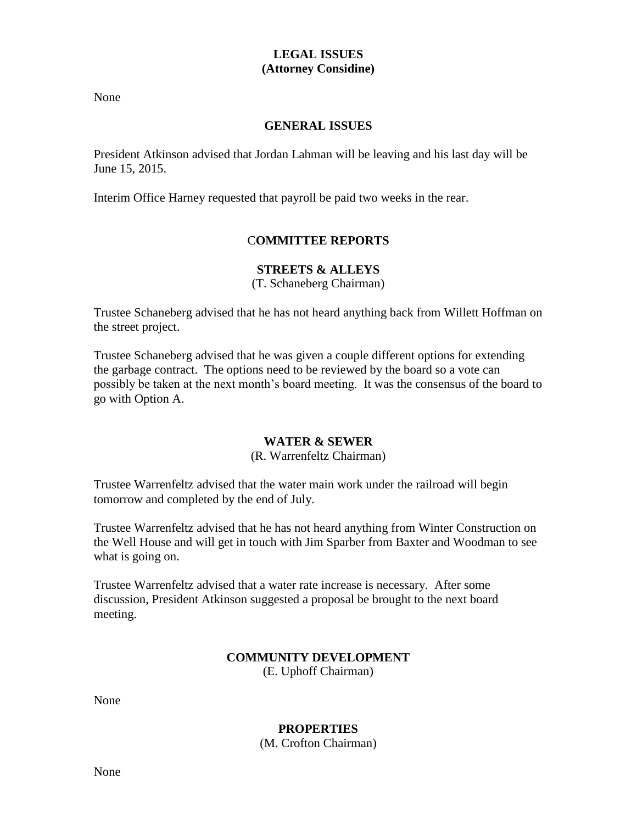# **LEGAL ISSUES (Attorney Considine)**

None

# **GENERAL ISSUES**

President Atkinson advised that Jordan Lahman will be leaving and his last day will be June 15, 2015.

Interim Office Harney requested that payroll be paid two weeks in the rear.

# C**OMMITTEE REPORTS**

# **STREETS & ALLEYS**

(T. Schaneberg Chairman)

Trustee Schaneberg advised that he has not heard anything back from Willett Hoffman on the street project.

Trustee Schaneberg advised that he was given a couple different options for extending the garbage contract. The options need to be reviewed by the board so a vote can possibly be taken at the next month's board meeting. It was the consensus of the board to go with Option A.

# **WATER & SEWER**

#### (R. Warrenfeltz Chairman)

Trustee Warrenfeltz advised that the water main work under the railroad will begin tomorrow and completed by the end of July.

Trustee Warrenfeltz advised that he has not heard anything from Winter Construction on the Well House and will get in touch with Jim Sparber from Baxter and Woodman to see what is going on.

Trustee Warrenfeltz advised that a water rate increase is necessary. After some discussion, President Atkinson suggested a proposal be brought to the next board meeting.

## **COMMUNITY DEVELOPMENT** (E. Uphoff Chairman)

None

# **PROPERTIES**

(M. Crofton Chairman)

None